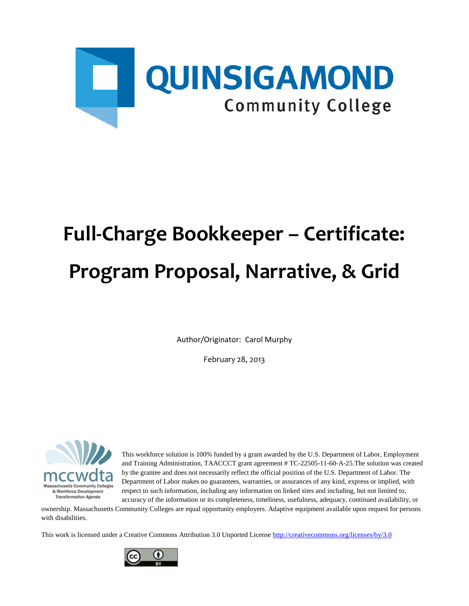

# **Full-Charge Bookkeeper – Certificate: Program Proposal, Narrative, & Grid**

Author/Originator: Carol Murphy

February 28, 2013



This workforce solution is 100% funded by a grant awarded by the U.S. Department of Labor, Employment and Training Administration, TAACCCT grant agreement # TC-22505-11-60-A-25.The solution was created by the grantee and does not necessarily reflect the official position of the U.S. Department of Labor. The Department of Labor makes no guarantees, warranties, or assurances of any kind, express or implied, with respect to such information, including any information on linked sites and including, but not limited to, accuracy of the information or its completeness, timeliness, usefulness, adequacy, continued availability, or

ownership. Massachusetts Community Colleges are equal opportunity employers. Adaptive equipment available upon request for persons with disabilities.

This work is licensed under a Creative Commons Attribution 3.0 Unported License<http://creativecommons.org/licenses/by/3.0>

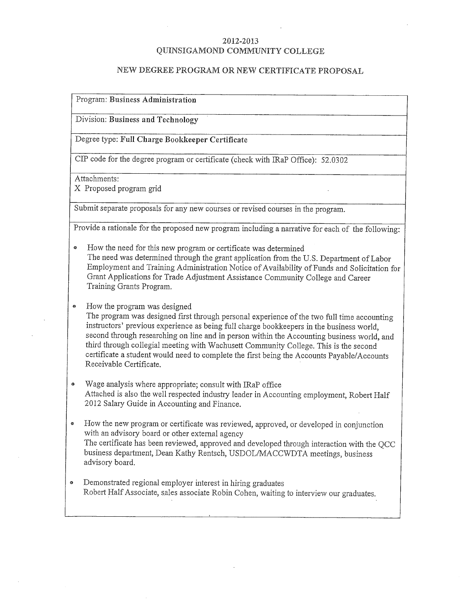#### 2012-2013 QUINSIGAMOND COMMUNITY COLLEGE

# NEW DEGREE PROGRAM OR NEW CERTIFICATE PROPOSAL

Program: Business Administration

Division: Business and Technology

Degree type: Full Charge Bookkeeper Certificate

CIP code for the degree program or certificate (check with IRaP Office): 52.0302

Attachments:

X Proposed program grid

Submit separate proposals for any new courses or revised courses in the program.

Provide a rationale for the proposed new program including a narrative for each of the following:

- How the need for this new program or certificate was determined  $\bullet$ The need was determined through the grant application from the U.S. Department of Labor Employment and Training Administration Notice of Availability of Funds and Solicitation for Grant Applications for Trade Adjustment Assistance Community College and Career Training Grants Program.
- $\ddot{\bullet}$ How the program was designed

The program was designed first through personal experience of the two full time accounting instructors' previous experience as being full charge bookkeepers in the business world, second through researching on line and in person within the Accounting business world, and third through collegial meeting with Wachusett Community College. This is the second certificate a student would need to complete the first being the Accounts Payable/Accounts Receivable Certificate.

- Wage analysis where appropriate; consult with IRaP office  $\pmb{\circ}$ Attached is also the well respected industry leader in Accounting employment, Robert Half 2012 Salary Guide in Accounting and Finance.
- How the new program or certificate was reviewed, approved, or developed in conjunction  $\bullet$ with an advisory board or other external agency The certificate has been reviewed, approved and developed through interaction with the OCC business department. Dean Kathy Rentsch, USDOL/MACCWDTA meetings, business advisory board.
- Demonstrated regional employer interest in hiring graduates  $\bullet$ Robert Half Associate, sales associate Robin Cohen, waiting to interview our graduates.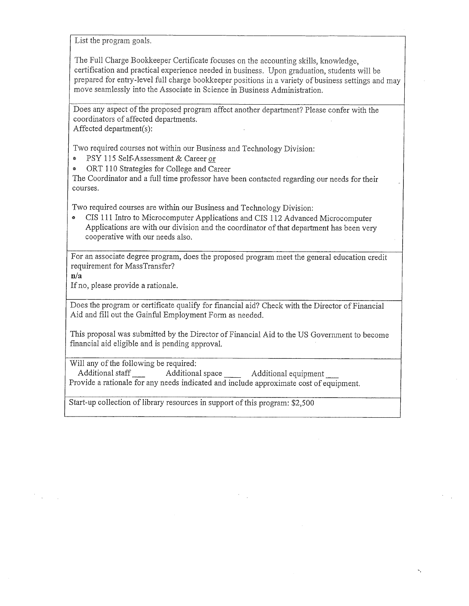List the program goals.

The Full Charge Bookkeeper Certificate focuses on the accounting skills, knowledge, certification and practical experience needed in business. Upon graduation, students will be prepared for entry-level full charge bookkeeper positions in a variety of business settings and may move seamlessly into the Associate in Science in Business Administration.

Does any aspect of the proposed program affect another department? Please confer with the coordinators of affected departments. Affected department(s):

Two required courses not within our Business and Technology Division:

PSY 115 Self-Assessment & Career or  $\bullet$ 

ORT 110 Strategies for College and Career  $\ddot{a}$ 

The Coordinator and a full time professor have been contacted regarding our needs for their courses.

Two required courses are within our Business and Technology Division:

CIS 111 Intro to Microcomputer Applications and CIS 112 Advanced Microcomputer  $\bullet$ Applications are with our division and the coordinator of that department has been very cooperative with our needs also.

For an associate degree program, does the proposed program meet the general education credit requirement for MassTransfer?

 $n/a$ 

If no, please provide a rationale.

Does the program or certificate qualify for financial aid? Check with the Director of Financial Aid and fill out the Gainful Employment Form as needed.

This proposal was submitted by the Director of Financial Aid to the US Government to become financial aid eligible and is pending approval.

Will any of the following be required:

Additional staff Additional space Additional equipment Provide a rationale for any needs indicated and include approximate cost of equipment.

Start-up collection of library resources in support of this program: \$2,500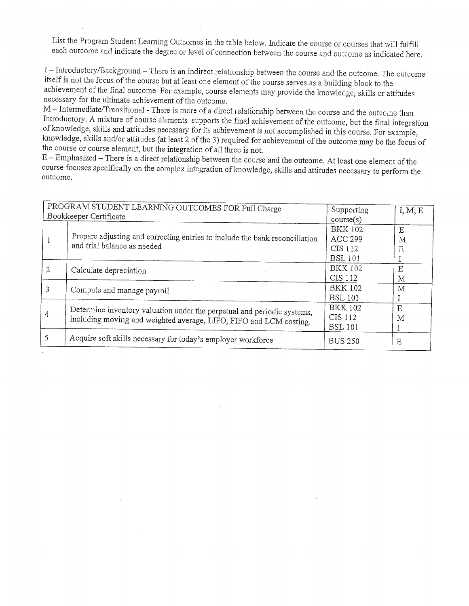List the Program Student Learning Outcomes in the table below. Indicate the course or courses that will fulfill each outcome and indicate the degree or level of connection between the course and outcome as indicated here.

I-Introductory/Background - There is an indirect relationship between the course and the outcome. The outcome itself is not the focus of the course but at least one element of the course serves as a building block to the achievement of the final outcome. For example, course elements may provide the knowledge, skills or attitudes necessary for the ultimate achievement of the outcome.

M - Intermediate/Transitional - There is more of a direct relationship between the course and the outcome than Introductory. A mixture of course elements supports the final achievement of the outcome, but the final integration of knowledge, skills and attitudes necessary for its achievement is not accomplished in this course. For example, knowledge, skills and/or attitudes (at least 2 of the 3) required for achievement of the outcome may be the focus of the course or course element, but the integration of all three is not.

E - Emphasized - There is a direct relationship between the course and the outcome. At least one element of the course focuses specifically on the complex integration of knowledge, skills and attitudes necessary to perform the outcome.

|   | PROGRAM STUDENT LEARNING OUTCOMES FOR Full Charge<br>Bookkeeper Certificate                                                                   | Supporting     | I, M, E |
|---|-----------------------------------------------------------------------------------------------------------------------------------------------|----------------|---------|
|   |                                                                                                                                               | course(s)      |         |
|   | Prepare adjusting and correcting entries to include the bank reconciliation                                                                   | <b>BKK 102</b> | Ε       |
|   | and trial balance as needed                                                                                                                   | <b>ACC 299</b> | Μ       |
|   |                                                                                                                                               | CIS 112        | Ε       |
|   |                                                                                                                                               | <b>BSL 101</b> |         |
| 2 | Calculate depreciation                                                                                                                        | <b>BKK 102</b> | E       |
|   |                                                                                                                                               | CIS 112        | М       |
| 3 | Compute and manage payroll                                                                                                                    | <b>BKK 102</b> | М       |
|   |                                                                                                                                               | <b>BSL 101</b> |         |
|   | Determine inventory valuation under the perpetual and periodic systems,<br>including moving and weighted average, LIFO, FIFO and LCM costing. | <b>BKK 102</b> | E       |
| 4 |                                                                                                                                               | CIS 112        | M       |
|   |                                                                                                                                               | <b>BSL 101</b> |         |
| 5 | Acquire soft skills necessary for today's employer workforce                                                                                  | <b>BUS 250</b> | Ε       |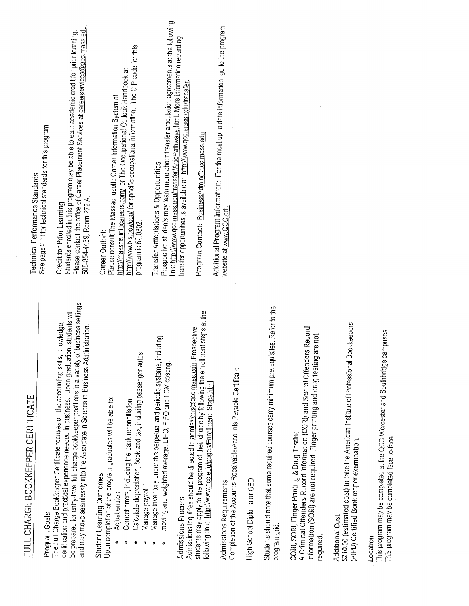| <u>rull uhakut Buukkelper Certificate</u>                                                                                                                                                                                                                                                                                                                               | Technical Performance Standards                                                                                                                                                                                                               |
|-------------------------------------------------------------------------------------------------------------------------------------------------------------------------------------------------------------------------------------------------------------------------------------------------------------------------------------------------------------------------|-----------------------------------------------------------------------------------------------------------------------------------------------------------------------------------------------------------------------------------------------|
| Program Goals                                                                                                                                                                                                                                                                                                                                                           | See page <i>in the technical</i> standards for this program.                                                                                                                                                                                  |
| be prepared for entry-level full charge bookkeeper positions in a variety of business settings<br>certification and practical experience needed in business. Upon graduation, students will<br>The Full Charge Bookkeeper Certificate focuses on the accounting skills, knowledge,<br>and may move seamlessly into the Associate in Science in Business Administration. | Please contact the office of Career Placement Services at careerservices@gcc.mass.edu,<br>Students enrolled in this program may be able to earn academic credit for prior learning.<br>508-854-4439, Room 272 A.<br>Credit for Prior Learning |
| Upon completion of the program graduates will be able to:<br>Student Learning Outcomes<br>Adjust entries                                                                                                                                                                                                                                                                | Please consult The Massachusetts Career Information System at<br>Career Outlook                                                                                                                                                               |
| Calculate depreciation, book and tax, including passenger autos<br>Correct errors, including the bank reconciliation<br>0                                                                                                                                                                                                                                               | http://www.bls.gov/oco/ for specific occupational information. The CIP code for this<br>http://massois.intocareers.com/ or The Occupational Outlook Handbook at<br>program is 52.0302.                                                        |
| Manage inventory under the perpetual and periodic systems, including<br>moving and weighted average, LIFO, FIFO and LCM costing.<br>Manage payroll<br>$\Theta$<br>Θ                                                                                                                                                                                                     | Prospective students may learn more about transfer articulation agreements at the following<br><b>Transfer Articulations &amp; Opportunities</b>                                                                                              |
| <b>Admissions Process</b>                                                                                                                                                                                                                                                                                                                                               | link: http://www.qcc.mass.edu/transfer/ArticPathways.html. More information regarding<br>transfer opportunities is available at: http://www.gcc.mass.edu/transfer.                                                                            |
| students may apply to the program of their choice by following the enrollment steps at the<br>Admissions inquiries should be directed to admissions@gcc.mass.edu .Prospective<br>following link: http://www.gcc.edu/pages/Enrollment_Steps.html                                                                                                                         | Program Contact: BusinessAdmin@gcc.mass.edu                                                                                                                                                                                                   |
| Completion of the Accounts Receivable/Accounts Payable Certificate<br>Admissions Requirements                                                                                                                                                                                                                                                                           | Additional Program Information: For the most up to date information, go to the program<br>website at www.QCC.edu.                                                                                                                             |
| High School Diploma or GED                                                                                                                                                                                                                                                                                                                                              |                                                                                                                                                                                                                                               |
| sites. Refer to the<br>Students should note that some required courses carry minimum prerequi-<br>program grid                                                                                                                                                                                                                                                          |                                                                                                                                                                                                                                               |
| A Criminal Offenders Record Information (CORI) and Sexual Offenders Record<br>are not<br>Information (SORI) are not required. Finger printing and drug testing<br>CORI, SORI, Finger Printing & Drug Testing<br>required                                                                                                                                                |                                                                                                                                                                                                                                               |
| \$210.00 (estimated cost) to take the American Institute of Professional Bookkeepers<br>(AIPB) Certified Bookkeeper examination.<br><b>Additional Cost</b>                                                                                                                                                                                                              |                                                                                                                                                                                                                                               |
| This program may be completed at the QCC Worcester and Southbridge campuses<br>This program may be completed face-to-face<br>Location                                                                                                                                                                                                                                   |                                                                                                                                                                                                                                               |

FULL CHARGE BOOKKEEPER CERTIFICATE

 $\ddot{\phantom{0}}$ 

 $\ddot{\phantom{0}}$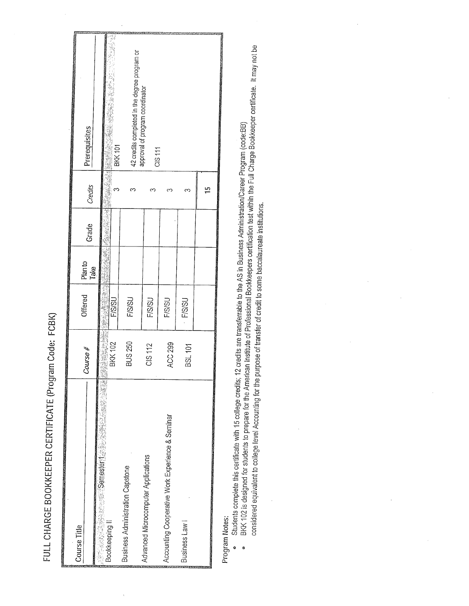FULL CHARGE BOOKKEEPER CERTIFICATE (Program Code: FCBK)

|                                                                                                                        |                   |                                                                                                                |                 |               |         | <b>THE REPORT OF PROPERTY AND DESCRIPTIONS</b> |
|------------------------------------------------------------------------------------------------------------------------|-------------------|----------------------------------------------------------------------------------------------------------------|-----------------|---------------|---------|------------------------------------------------|
| Course Title                                                                                                           |                   |                                                                                                                |                 |               |         |                                                |
| <b>STATE OF CONTRACT PROPERTY AND CONTRACT CONTRACT OF ALL AND CONTRACT OF ALL AND CONTRACT OF ALL AND CONTRACT OF</b> | Course #          | Offered                                                                                                        | Plan to<br>Take | Grade         | Credits | Prerequisites                                  |
| <b>静电电话器 医血管</b>                                                                                                       |                   |                                                                                                                |                 |               |         |                                                |
| <b>Somesters Lating</b>                                                                                                | universität.<br>å | 经电话电话                                                                                                          |                 | Ī<br>S.<br>病患 |         |                                                |
| Bookkeeping II                                                                                                         | <b>BKK 102</b>    | <b>F/S/SU</b>                                                                                                  |                 |               | ∞       | unio).<br>BKK 101                              |
| <b>Business Administration Capstone</b>                                                                                | <b>BUS 250</b>    | <b>FISISU</b>                                                                                                  |                 |               | ∞       |                                                |
|                                                                                                                        |                   |                                                                                                                |                 |               |         | 42 credits completed in the degree program or  |
| Advanced Microcomputer Applications                                                                                    | CIS 112           | <b>F/S/SU</b>                                                                                                  |                 |               | ຕ       | approval of program coordinator                |
|                                                                                                                        |                   |                                                                                                                |                 |               |         | CIS <sub>111</sub>                             |
| Accounting Cooperative Work Experience & Seminar                                                                       | ACC 299           | <b>F/S/SU</b>                                                                                                  |                 |               |         |                                                |
|                                                                                                                        |                   |                                                                                                                |                 |               |         |                                                |
| Business Law                                                                                                           | <b>BSL 101</b>    | <b>FISISU</b>                                                                                                  |                 |               | ∞       |                                                |
|                                                                                                                        |                   |                                                                                                                |                 |               |         |                                                |
| <b>CONTEST COMMENTATIONS AND THE UNITED STATES</b>                                                                     |                   | a mana kata kata na mana na mana na mana na mana na mana na mana na mana na mana na mana na mana na mana na ma |                 |               | ≏       |                                                |

Program Notes:

 $\ddot{\mathbf{e}}$ 

Students complete this certificate with 15 college credits; 12 credits are transferrable to the AS in Business Administration/Career Program (code:BB)  $^{\circ}$ 

BKK 102 is designed for students to prepare for the American Institute of Professional Bookkeepers certification test within the Full Charge Bookkeeper certificate. It may not be considered equivalent to college level Accounting for the purpose of transfer of credit to some baccalaureate institutions.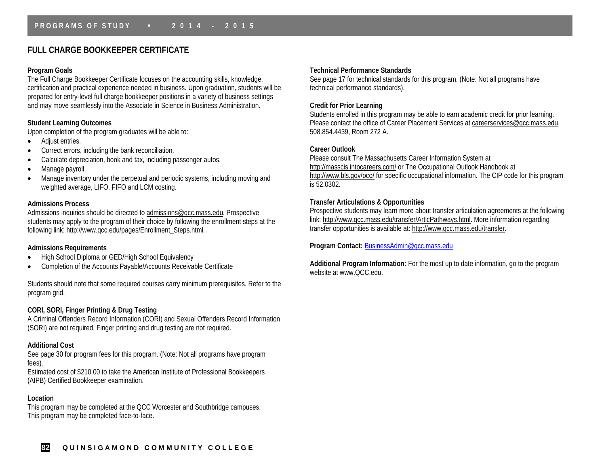# **FULL CHARGE BOOKKEEPER CERTIFICATE**

#### **Program Goals**

The Full Charge Bookkeeper Certificate focuses on the accounting skills, knowledge, certification and practical experience needed in business. Upon graduation, students will be prepared for entry-level full charge bookkeeper positions in a variety of business settings and may move seamlessly into the Associate in Science in Business Administration.

## **Student Learning Outcomes**

Upon completion of the program graduates will be able to:

- Adjust entries.
- Correct errors, including the bank reconciliation.
- Calculate depreciation, book and tax, including passenger autos.
- Manage payroll.
- Manage inventory under the perpetual and periodic systems, including moving and weighted average, LIFO, FIFO and LCM costing.

## **Admissions Process**

Admissions inquiries should be directed t[o admissions@qcc.mass.edu.](mailto:admissions@qcc.mass.edu) Prospective students may apply to the program of their choice by following the enrollment steps at the following link: [http://www.qcc.edu/pages/Enrollment\\_Steps.html.](http://www.qcc.edu/pages/Enrollment_Steps.html)

#### **Admissions Requirements**

- High School Diploma or GED/High School Equivalency
- Completion of the Accounts Payable/Accounts Receivable Certificate

Students should note that some required courses carry minimum prerequisites. Refer to the program grid.

# **CORI, SORI, Finger Printing & Drug Testing**

A Criminal Offenders Record Information (CORI) and Sexual Offenders Record Information (SORI) are not required. Finger printing and drug testing are not required.

# **Additional Cost**

See page 30 for program fees for this program. (Note: Not all programs have program fees).

Estimated cost of \$210.00 to take the American Institute of Professional Bookkeepers (AIPB) Certified Bookkeeper examination.

# **Location**

This program may be completed at the QCC Worcester and Southbridge campuses. This program may be completed face-to-face.

#### **Technical Performance Standards**

See page 17 for technical standards for this program. (Note: Not all programs have technical performance standards).

# **Credit for Prior Learning**

Students enrolled in this program may be able to earn academic credit for prior learning. Please contact the office of Career Placement Services at [careerservices@qcc.mass.edu,](mailto:careerservices@qcc.mass.edu) 508.854.4439, Room 272 A.

## **Career Outlook**

Please consult The Massachusetts Career Information System at <http://masscis.intocareers.com/> or The Occupational Outlook Handbook at <http://www.bls.gov/oco/> for specific occupational information. The CIP code for this program is 52.0302.

## **Transfer Articulations & Opportunities**

Prospective students may learn more about transfer articulation agreements at the following link: [http://www.qcc.mass.edu/transfer/ArticPathways.html.](http://www.qcc.mass.edu/transfer/ArticPathways.html) More information regarding transfer opportunities is available at[: http://www.qcc.mass.edu/transfer.](http://www.qcc.mass.edu/transfer)

**Program Contact:** [BusinessAdmin@qcc.mass.edu](mailto:BusinessAdmin@qcc.mass.edu)

**Additional Program Information:** For the most up to date information, go to the program website at [www.QCC.edu.](http://www.qcc.edu/)